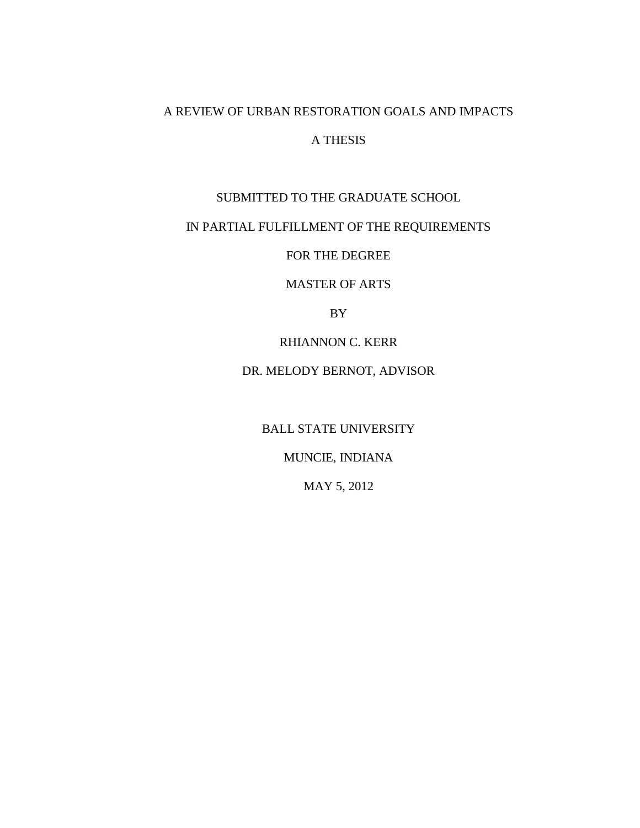# A REVIEW OF URBAN RESTORATION GOALS AND IMPACTS

# A THESIS

# SUBMITTED TO THE GRADUATE SCHOOL

# IN PARTIAL FULFILLMENT OF THE REQUIREMENTS

FOR THE DEGREE

MASTER OF ARTS

BY

RHIANNON C. KERR

DR. MELODY BERNOT, ADVISOR

BALL STATE UNIVERSITY

MUNCIE, INDIANA

MAY 5, 2012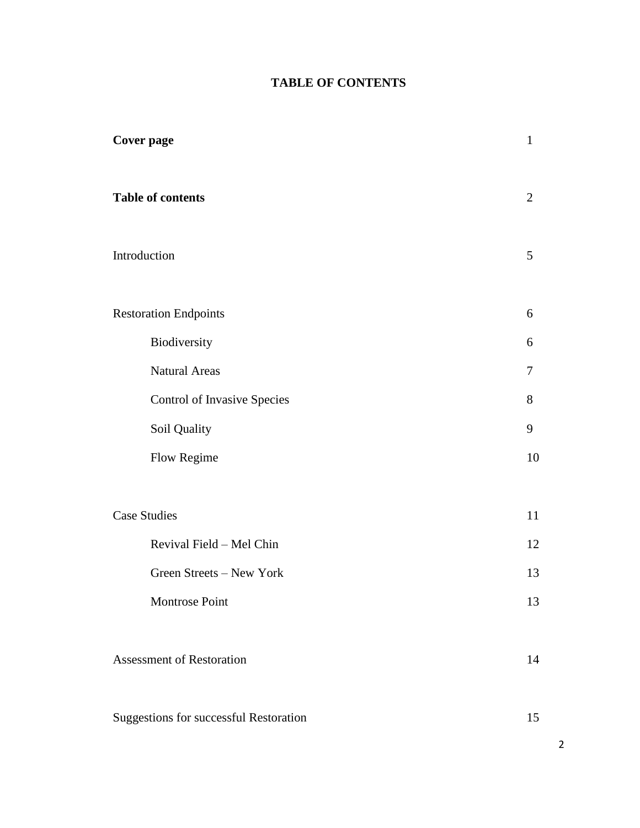# **TABLE OF CONTENTS**

| <b>Cover page</b>                             | $\mathbf{1}$   |
|-----------------------------------------------|----------------|
| <b>Table of contents</b>                      | $\overline{2}$ |
| Introduction                                  | 5              |
| <b>Restoration Endpoints</b>                  | 6              |
| Biodiversity                                  | 6              |
| <b>Natural Areas</b>                          | 7              |
| Control of Invasive Species                   | 8              |
| Soil Quality                                  | 9              |
| Flow Regime                                   | 10             |
|                                               |                |
| <b>Case Studies</b>                           | 11             |
| Revival Field - Mel Chin                      | 12             |
| Green Streets - New York                      | 13             |
| Montrose Point                                | 13             |
|                                               |                |
| <b>Assessment of Restoration</b>              | 14             |
|                                               |                |
| <b>Suggestions for successful Restoration</b> | 15             |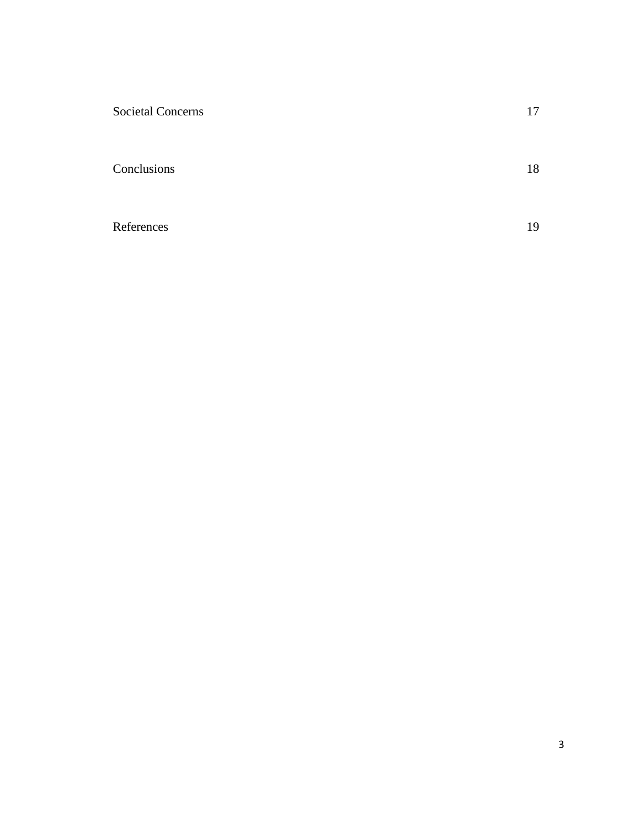| <b>Societal Concerns</b> | 17 |
|--------------------------|----|
| Conclusions              | 18 |
| References               | 19 |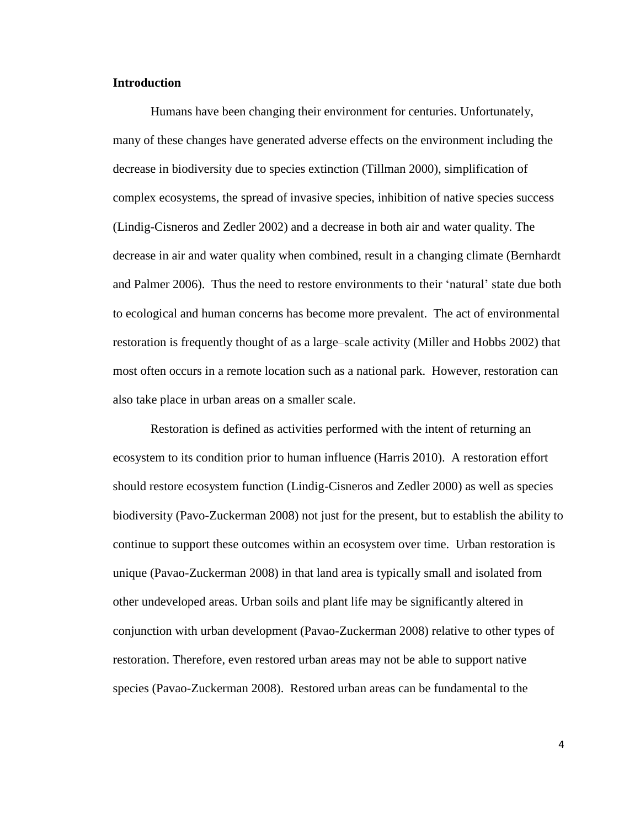## **Introduction**

Humans have been changing their environment for centuries. Unfortunately, many of these changes have generated adverse effects on the environment including the decrease in biodiversity due to species extinction (Tillman 2000), simplification of complex ecosystems, the spread of invasive species, inhibition of native species success (Lindig-Cisneros and Zedler 2002) and a decrease in both air and water quality. The decrease in air and water quality when combined, result in a changing climate (Bernhardt and Palmer 2006). Thus the need to restore environments to their 'natural' state due both to ecological and human concerns has become more prevalent. The act of environmental restoration is frequently thought of as a large–scale activity (Miller and Hobbs 2002) that most often occurs in a remote location such as a national park. However, restoration can also take place in urban areas on a smaller scale.

Restoration is defined as activities performed with the intent of returning an ecosystem to its condition prior to human influence (Harris 2010). A restoration effort should restore ecosystem function (Lindig-Cisneros and Zedler 2000) as well as species biodiversity (Pavo-Zuckerman 2008) not just for the present, but to establish the ability to continue to support these outcomes within an ecosystem over time. Urban restoration is unique (Pavao-Zuckerman 2008) in that land area is typically small and isolated from other undeveloped areas. Urban soils and plant life may be significantly altered in conjunction with urban development (Pavao-Zuckerman 2008) relative to other types of restoration. Therefore, even restored urban areas may not be able to support native species (Pavao-Zuckerman 2008). Restored urban areas can be fundamental to the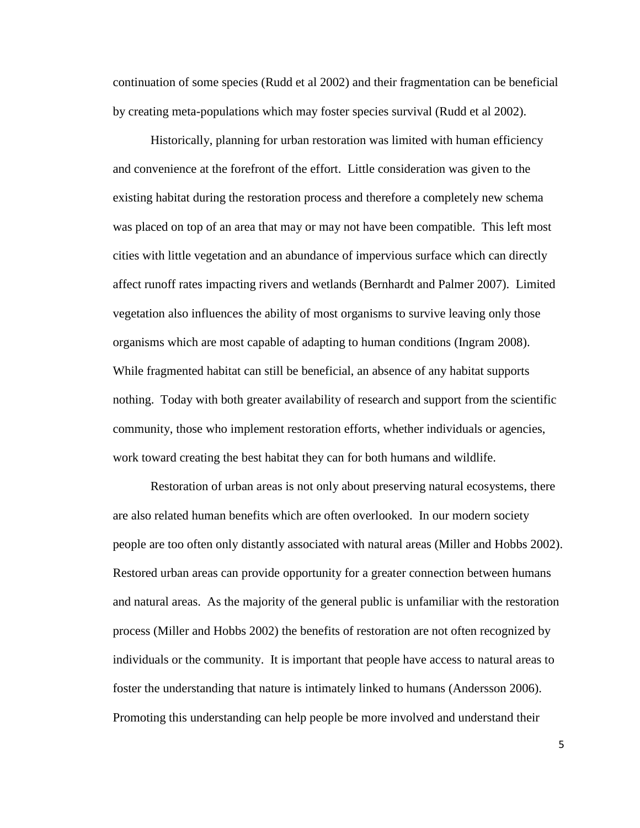continuation of some species (Rudd et al 2002) and their fragmentation can be beneficial by creating meta-populations which may foster species survival (Rudd et al 2002).

Historically, planning for urban restoration was limited with human efficiency and convenience at the forefront of the effort. Little consideration was given to the existing habitat during the restoration process and therefore a completely new schema was placed on top of an area that may or may not have been compatible. This left most cities with little vegetation and an abundance of impervious surface which can directly affect runoff rates impacting rivers and wetlands (Bernhardt and Palmer 2007). Limited vegetation also influences the ability of most organisms to survive leaving only those organisms which are most capable of adapting to human conditions (Ingram 2008). While fragmented habitat can still be beneficial, an absence of any habitat supports nothing. Today with both greater availability of research and support from the scientific community, those who implement restoration efforts, whether individuals or agencies, work toward creating the best habitat they can for both humans and wildlife.

Restoration of urban areas is not only about preserving natural ecosystems, there are also related human benefits which are often overlooked. In our modern society people are too often only distantly associated with natural areas (Miller and Hobbs 2002). Restored urban areas can provide opportunity for a greater connection between humans and natural areas. As the majority of the general public is unfamiliar with the restoration process (Miller and Hobbs 2002) the benefits of restoration are not often recognized by individuals or the community. It is important that people have access to natural areas to foster the understanding that nature is intimately linked to humans (Andersson 2006). Promoting this understanding can help people be more involved and understand their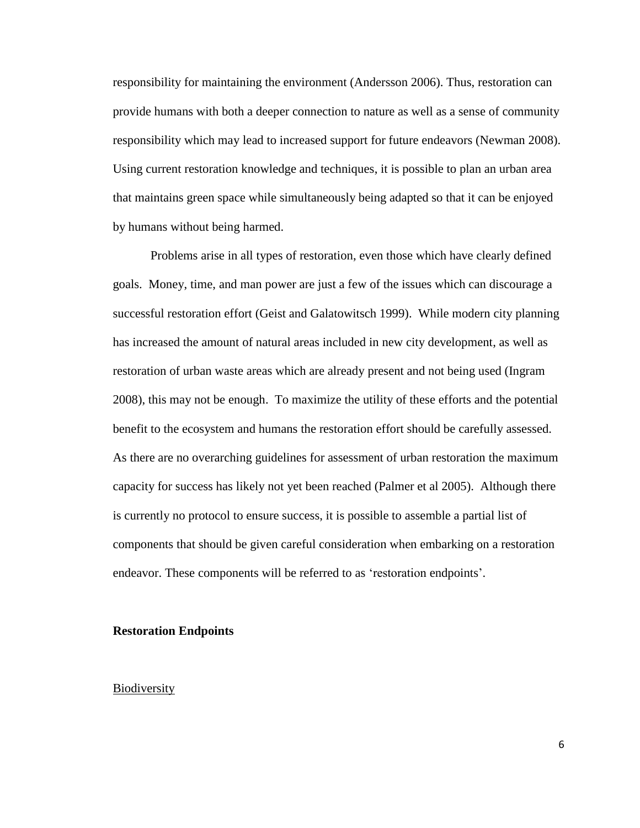responsibility for maintaining the environment (Andersson 2006). Thus, restoration can provide humans with both a deeper connection to nature as well as a sense of community responsibility which may lead to increased support for future endeavors (Newman 2008). Using current restoration knowledge and techniques, it is possible to plan an urban area that maintains green space while simultaneously being adapted so that it can be enjoyed by humans without being harmed.

Problems arise in all types of restoration, even those which have clearly defined goals. Money, time, and man power are just a few of the issues which can discourage a successful restoration effort (Geist and Galatowitsch 1999). While modern city planning has increased the amount of natural areas included in new city development, as well as restoration of urban waste areas which are already present and not being used (Ingram 2008), this may not be enough. To maximize the utility of these efforts and the potential benefit to the ecosystem and humans the restoration effort should be carefully assessed. As there are no overarching guidelines for assessment of urban restoration the maximum capacity for success has likely not yet been reached (Palmer et al 2005). Although there is currently no protocol to ensure success, it is possible to assemble a partial list of components that should be given careful consideration when embarking on a restoration endeavor. These components will be referred to as 'restoration endpoints'.

#### **Restoration Endpoints**

#### Biodiversity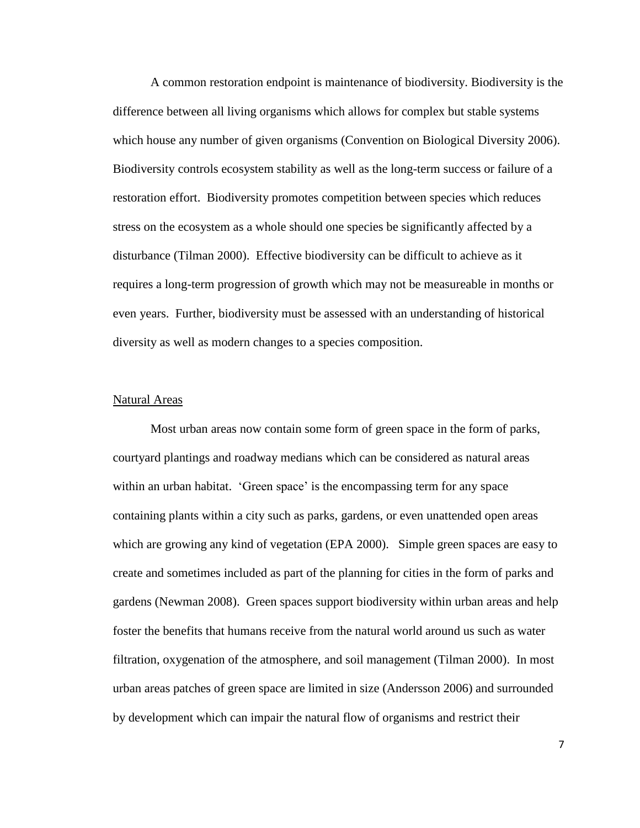A common restoration endpoint is maintenance of biodiversity. Biodiversity is the difference between all living organisms which allows for complex but stable systems which house any number of given organisms (Convention on Biological Diversity 2006). Biodiversity controls ecosystem stability as well as the long-term success or failure of a restoration effort. Biodiversity promotes competition between species which reduces stress on the ecosystem as a whole should one species be significantly affected by a disturbance (Tilman 2000). Effective biodiversity can be difficult to achieve as it requires a long-term progression of growth which may not be measureable in months or even years. Further, biodiversity must be assessed with an understanding of historical diversity as well as modern changes to a species composition.

#### Natural Areas

Most urban areas now contain some form of green space in the form of parks, courtyard plantings and roadway medians which can be considered as natural areas within an urban habitat. 'Green space' is the encompassing term for any space containing plants within a city such as parks, gardens, or even unattended open areas which are growing any kind of vegetation (EPA 2000). Simple green spaces are easy to create and sometimes included as part of the planning for cities in the form of parks and gardens (Newman 2008). Green spaces support biodiversity within urban areas and help foster the benefits that humans receive from the natural world around us such as water filtration, oxygenation of the atmosphere, and soil management (Tilman 2000). In most urban areas patches of green space are limited in size (Andersson 2006) and surrounded by development which can impair the natural flow of organisms and restrict their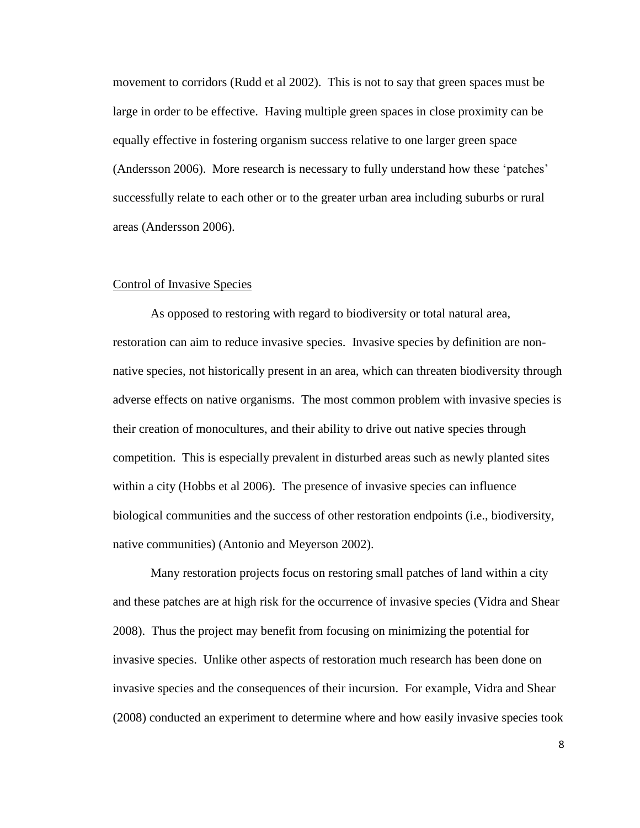movement to corridors (Rudd et al 2002). This is not to say that green spaces must be large in order to be effective. Having multiple green spaces in close proximity can be equally effective in fostering organism success relative to one larger green space (Andersson 2006). More research is necessary to fully understand how these 'patches' successfully relate to each other or to the greater urban area including suburbs or rural areas (Andersson 2006).

# Control of Invasive Species

As opposed to restoring with regard to biodiversity or total natural area, restoration can aim to reduce invasive species. Invasive species by definition are nonnative species, not historically present in an area, which can threaten biodiversity through adverse effects on native organisms. The most common problem with invasive species is their creation of monocultures, and their ability to drive out native species through competition. This is especially prevalent in disturbed areas such as newly planted sites within a city (Hobbs et al 2006). The presence of invasive species can influence biological communities and the success of other restoration endpoints (i.e., biodiversity, native communities) (Antonio and Meyerson 2002).

Many restoration projects focus on restoring small patches of land within a city and these patches are at high risk for the occurrence of invasive species (Vidra and Shear 2008). Thus the project may benefit from focusing on minimizing the potential for invasive species. Unlike other aspects of restoration much research has been done on invasive species and the consequences of their incursion. For example, Vidra and Shear (2008) conducted an experiment to determine where and how easily invasive species took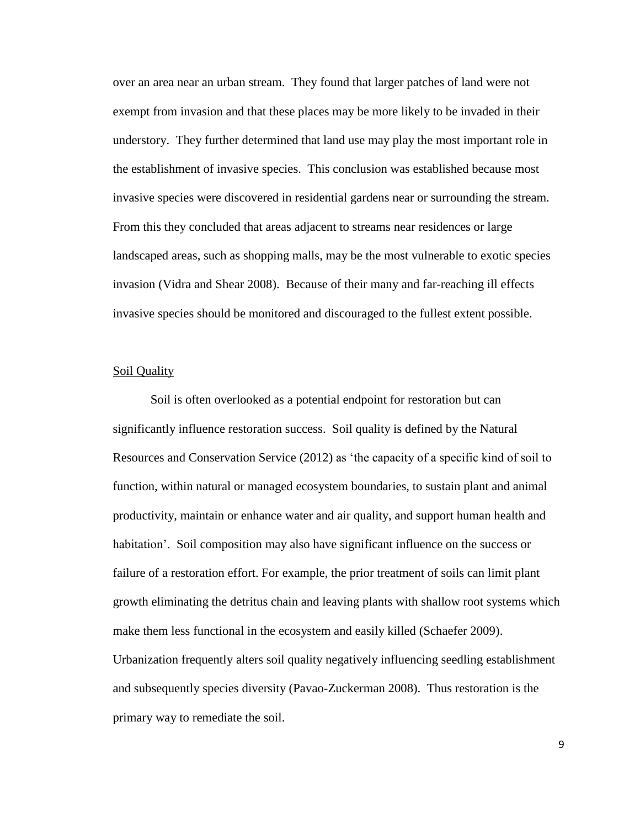over an area near an urban stream. They found that larger patches of land were not exempt from invasion and that these places may be more likely to be invaded in their understory. They further determined that land use may play the most important role in the establishment of invasive species. This conclusion was established because most invasive species were discovered in residential gardens near or surrounding the stream. From this they concluded that areas adjacent to streams near residences or large landscaped areas, such as shopping malls, may be the most vulnerable to exotic species invasion (Vidra and Shear 2008). Because of their many and far-reaching ill effects invasive species should be monitored and discouraged to the fullest extent possible.

### Soil Quality

Soil is often overlooked as a potential endpoint for restoration but can significantly influence restoration success. Soil quality is defined by the Natural Resources and Conservation Service (2012) as 'the capacity of a specific kind of soil to function, within natural or managed ecosystem boundaries, to sustain plant and animal productivity, maintain or enhance water and air quality, and support human health and habitation'. Soil composition may also have significant influence on the success or failure of a restoration effort. For example, the prior treatment of soils can limit plant growth eliminating the detritus chain and leaving plants with shallow root systems which make them less functional in the ecosystem and easily killed (Schaefer 2009). Urbanization frequently alters soil quality negatively influencing seedling establishment and subsequently species diversity (Pavao-Zuckerman 2008). Thus restoration is the primary way to remediate the soil.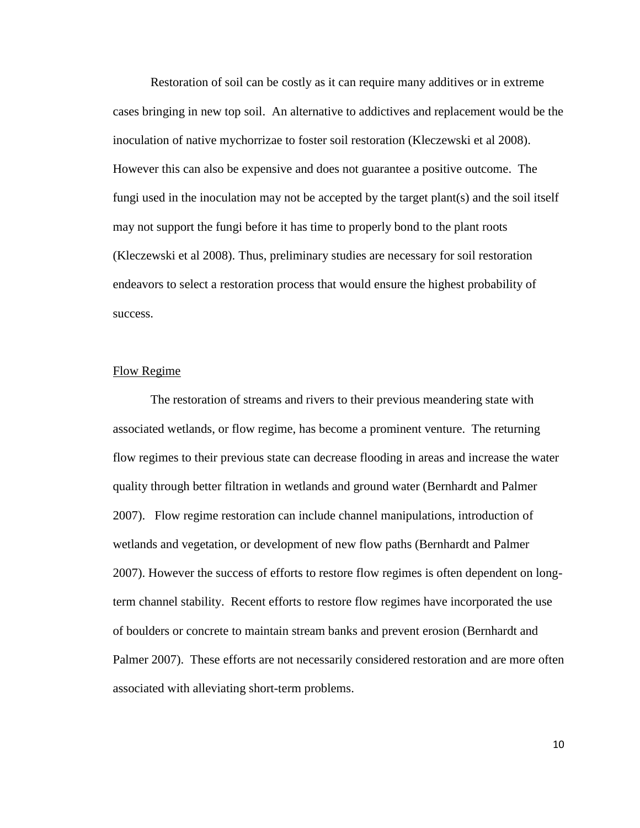Restoration of soil can be costly as it can require many additives or in extreme cases bringing in new top soil. An alternative to addictives and replacement would be the inoculation of native mychorrizae to foster soil restoration (Kleczewski et al 2008). However this can also be expensive and does not guarantee a positive outcome. The fungi used in the inoculation may not be accepted by the target plant(s) and the soil itself may not support the fungi before it has time to properly bond to the plant roots (Kleczewski et al 2008). Thus, preliminary studies are necessary for soil restoration endeavors to select a restoration process that would ensure the highest probability of success.

### Flow Regime

The restoration of streams and rivers to their previous meandering state with associated wetlands, or flow regime, has become a prominent venture. The returning flow regimes to their previous state can decrease flooding in areas and increase the water quality through better filtration in wetlands and ground water (Bernhardt and Palmer 2007). Flow regime restoration can include channel manipulations, introduction of wetlands and vegetation, or development of new flow paths (Bernhardt and Palmer 2007). However the success of efforts to restore flow regimes is often dependent on longterm channel stability. Recent efforts to restore flow regimes have incorporated the use of boulders or concrete to maintain stream banks and prevent erosion (Bernhardt and Palmer 2007). These efforts are not necessarily considered restoration and are more often associated with alleviating short-term problems.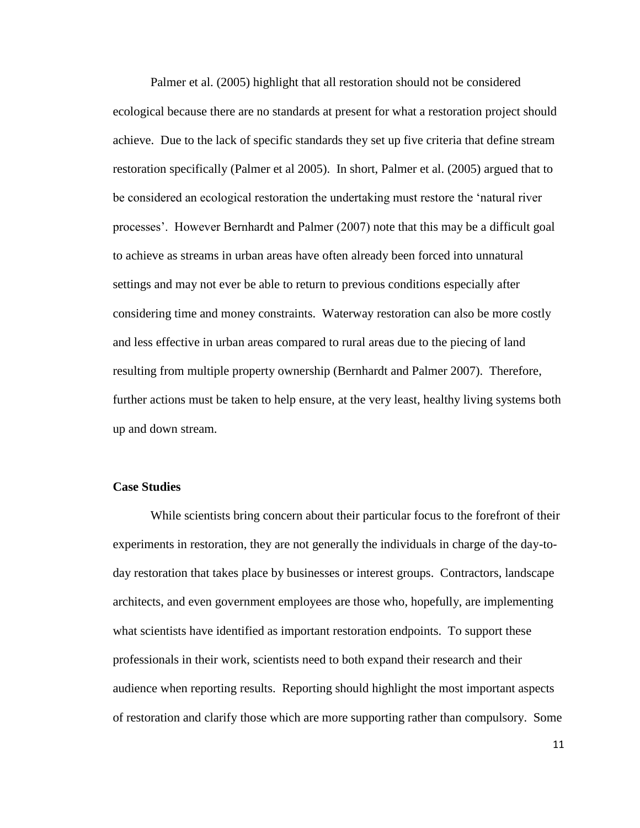Palmer et al. (2005) highlight that all restoration should not be considered ecological because there are no standards at present for what a restoration project should achieve. Due to the lack of specific standards they set up five criteria that define stream restoration specifically (Palmer et al 2005). In short, Palmer et al. (2005) argued that to be considered an ecological restoration the undertaking must restore the 'natural river processes'. However Bernhardt and Palmer (2007) note that this may be a difficult goal to achieve as streams in urban areas have often already been forced into unnatural settings and may not ever be able to return to previous conditions especially after considering time and money constraints. Waterway restoration can also be more costly and less effective in urban areas compared to rural areas due to the piecing of land resulting from multiple property ownership (Bernhardt and Palmer 2007). Therefore, further actions must be taken to help ensure, at the very least, healthy living systems both up and down stream.

### **Case Studies**

While scientists bring concern about their particular focus to the forefront of their experiments in restoration, they are not generally the individuals in charge of the day-today restoration that takes place by businesses or interest groups. Contractors, landscape architects, and even government employees are those who, hopefully, are implementing what scientists have identified as important restoration endpoints. To support these professionals in their work, scientists need to both expand their research and their audience when reporting results. Reporting should highlight the most important aspects of restoration and clarify those which are more supporting rather than compulsory. Some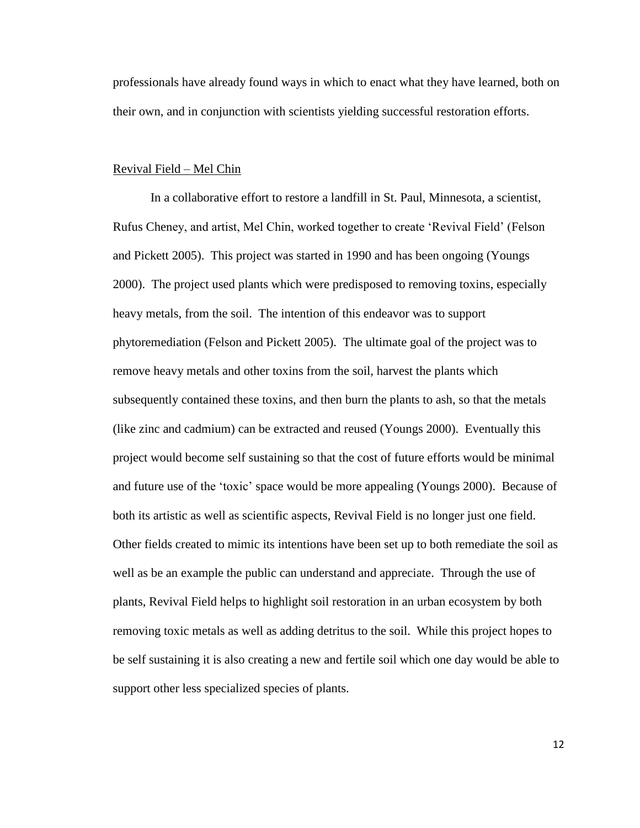professionals have already found ways in which to enact what they have learned, both on their own, and in conjunction with scientists yielding successful restoration efforts.

### Revival Field – Mel Chin

In a collaborative effort to restore a landfill in St. Paul, Minnesota, a scientist, Rufus Cheney, and artist, Mel Chin, worked together to create 'Revival Field' (Felson and Pickett 2005). This project was started in 1990 and has been ongoing (Youngs 2000). The project used plants which were predisposed to removing toxins, especially heavy metals, from the soil. The intention of this endeavor was to support phytoremediation (Felson and Pickett 2005). The ultimate goal of the project was to remove heavy metals and other toxins from the soil, harvest the plants which subsequently contained these toxins, and then burn the plants to ash, so that the metals (like zinc and cadmium) can be extracted and reused (Youngs 2000). Eventually this project would become self sustaining so that the cost of future efforts would be minimal and future use of the 'toxic' space would be more appealing (Youngs 2000). Because of both its artistic as well as scientific aspects, Revival Field is no longer just one field. Other fields created to mimic its intentions have been set up to both remediate the soil as well as be an example the public can understand and appreciate. Through the use of plants, Revival Field helps to highlight soil restoration in an urban ecosystem by both removing toxic metals as well as adding detritus to the soil. While this project hopes to be self sustaining it is also creating a new and fertile soil which one day would be able to support other less specialized species of plants.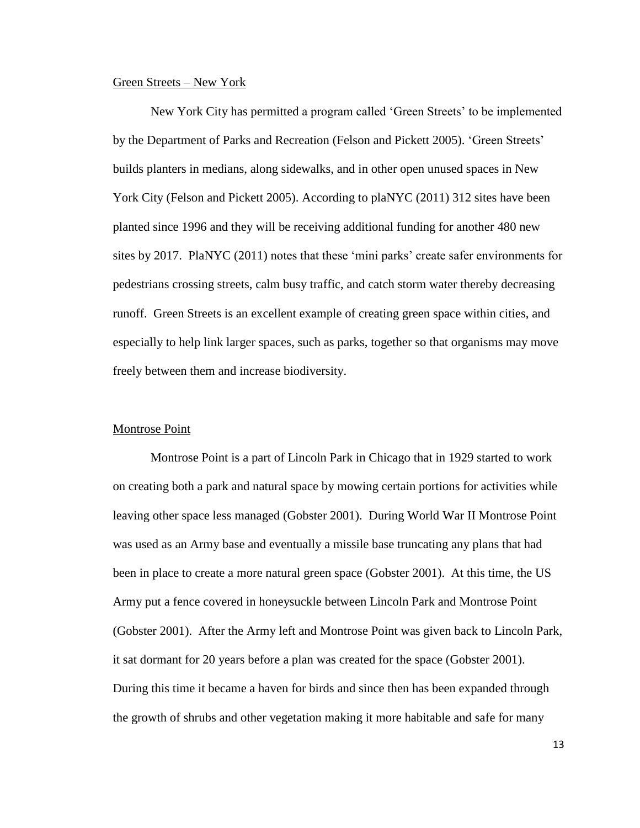#### Green Streets – New York

New York City has permitted a program called 'Green Streets' to be implemented by the Department of Parks and Recreation (Felson and Pickett 2005). 'Green Streets' builds planters in medians, along sidewalks, and in other open unused spaces in New York City (Felson and Pickett 2005). According to plaNYC (2011) 312 sites have been planted since 1996 and they will be receiving additional funding for another 480 new sites by 2017. PlaNYC (2011) notes that these 'mini parks' create safer environments for pedestrians crossing streets, calm busy traffic, and catch storm water thereby decreasing runoff. Green Streets is an excellent example of creating green space within cities, and especially to help link larger spaces, such as parks, together so that organisms may move freely between them and increase biodiversity.

## Montrose Point

Montrose Point is a part of Lincoln Park in Chicago that in 1929 started to work on creating both a park and natural space by mowing certain portions for activities while leaving other space less managed (Gobster 2001). During World War II Montrose Point was used as an Army base and eventually a missile base truncating any plans that had been in place to create a more natural green space (Gobster 2001). At this time, the US Army put a fence covered in honeysuckle between Lincoln Park and Montrose Point (Gobster 2001). After the Army left and Montrose Point was given back to Lincoln Park, it sat dormant for 20 years before a plan was created for the space (Gobster 2001). During this time it became a haven for birds and since then has been expanded through the growth of shrubs and other vegetation making it more habitable and safe for many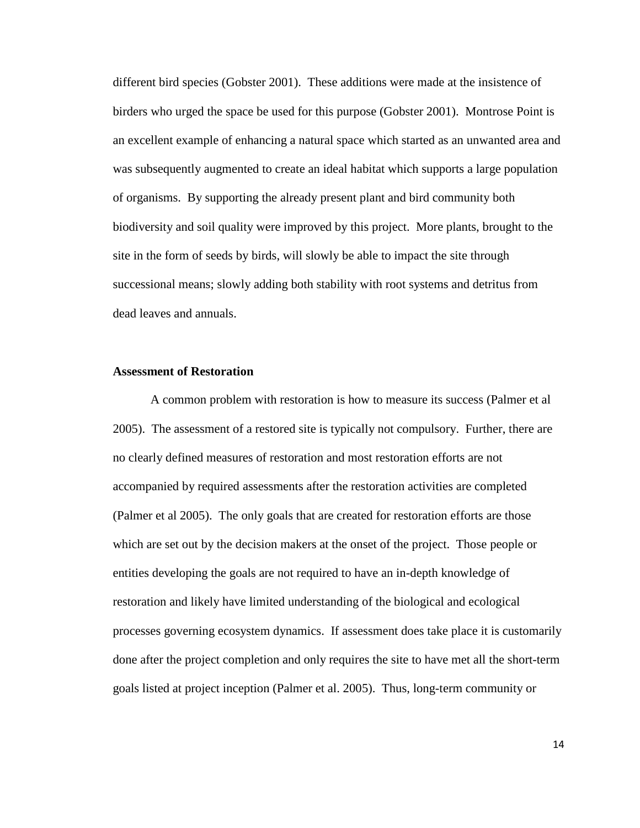different bird species (Gobster 2001). These additions were made at the insistence of birders who urged the space be used for this purpose (Gobster 2001). Montrose Point is an excellent example of enhancing a natural space which started as an unwanted area and was subsequently augmented to create an ideal habitat which supports a large population of organisms. By supporting the already present plant and bird community both biodiversity and soil quality were improved by this project. More plants, brought to the site in the form of seeds by birds, will slowly be able to impact the site through successional means; slowly adding both stability with root systems and detritus from dead leaves and annuals.

#### **Assessment of Restoration**

A common problem with restoration is how to measure its success (Palmer et al 2005). The assessment of a restored site is typically not compulsory. Further, there are no clearly defined measures of restoration and most restoration efforts are not accompanied by required assessments after the restoration activities are completed (Palmer et al 2005). The only goals that are created for restoration efforts are those which are set out by the decision makers at the onset of the project. Those people or entities developing the goals are not required to have an in-depth knowledge of restoration and likely have limited understanding of the biological and ecological processes governing ecosystem dynamics. If assessment does take place it is customarily done after the project completion and only requires the site to have met all the short-term goals listed at project inception (Palmer et al. 2005). Thus, long-term community or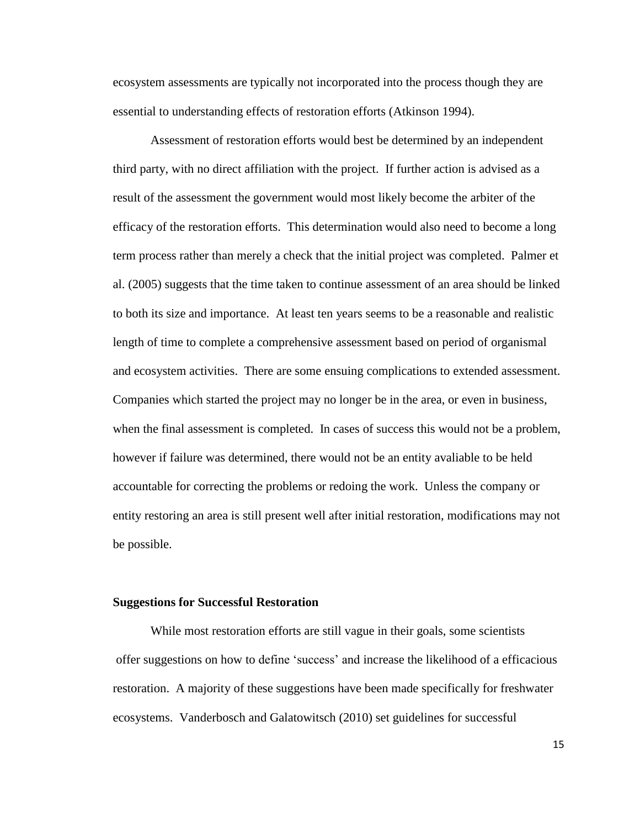ecosystem assessments are typically not incorporated into the process though they are essential to understanding effects of restoration efforts (Atkinson 1994).

Assessment of restoration efforts would best be determined by an independent third party, with no direct affiliation with the project. If further action is advised as a result of the assessment the government would most likely become the arbiter of the efficacy of the restoration efforts. This determination would also need to become a long term process rather than merely a check that the initial project was completed. Palmer et al. (2005) suggests that the time taken to continue assessment of an area should be linked to both its size and importance. At least ten years seems to be a reasonable and realistic length of time to complete a comprehensive assessment based on period of organismal and ecosystem activities. There are some ensuing complications to extended assessment. Companies which started the project may no longer be in the area, or even in business, when the final assessment is completed. In cases of success this would not be a problem, however if failure was determined, there would not be an entity avaliable to be held accountable for correcting the problems or redoing the work. Unless the company or entity restoring an area is still present well after initial restoration, modifications may not be possible.

#### **Suggestions for Successful Restoration**

While most restoration efforts are still vague in their goals, some scientists offer suggestions on how to define 'success' and increase the likelihood of a efficacious restoration. A majority of these suggestions have been made specifically for freshwater ecosystems. Vanderbosch and Galatowitsch (2010) set guidelines for successful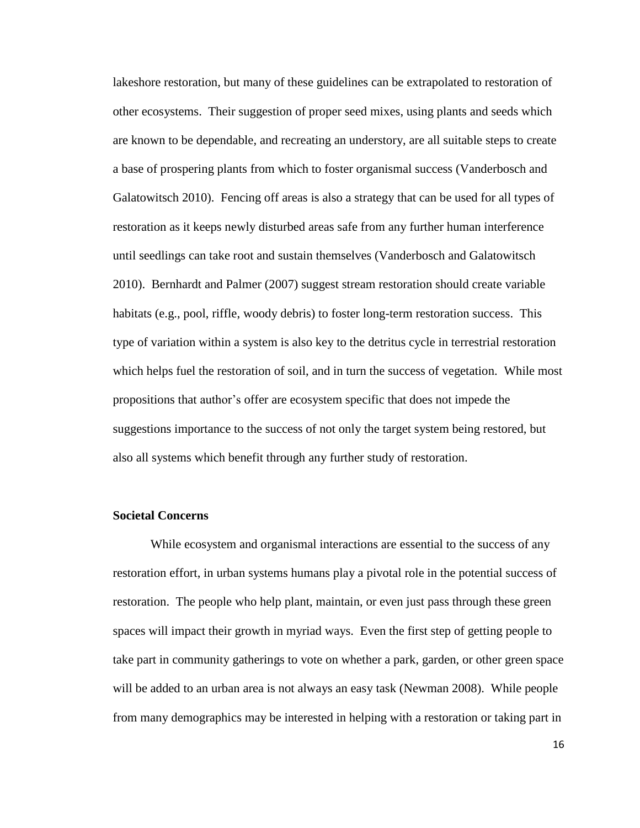lakeshore restoration, but many of these guidelines can be extrapolated to restoration of other ecosystems. Their suggestion of proper seed mixes, using plants and seeds which are known to be dependable, and recreating an understory, are all suitable steps to create a base of prospering plants from which to foster organismal success (Vanderbosch and Galatowitsch 2010). Fencing off areas is also a strategy that can be used for all types of restoration as it keeps newly disturbed areas safe from any further human interference until seedlings can take root and sustain themselves (Vanderbosch and Galatowitsch 2010). Bernhardt and Palmer (2007) suggest stream restoration should create variable habitats (e.g., pool, riffle, woody debris) to foster long-term restoration success. This type of variation within a system is also key to the detritus cycle in terrestrial restoration which helps fuel the restoration of soil, and in turn the success of vegetation. While most propositions that author's offer are ecosystem specific that does not impede the suggestions importance to the success of not only the target system being restored, but also all systems which benefit through any further study of restoration.

## **Societal Concerns**

While ecosystem and organismal interactions are essential to the success of any restoration effort, in urban systems humans play a pivotal role in the potential success of restoration. The people who help plant, maintain, or even just pass through these green spaces will impact their growth in myriad ways. Even the first step of getting people to take part in community gatherings to vote on whether a park, garden, or other green space will be added to an urban area is not always an easy task (Newman 2008). While people from many demographics may be interested in helping with a restoration or taking part in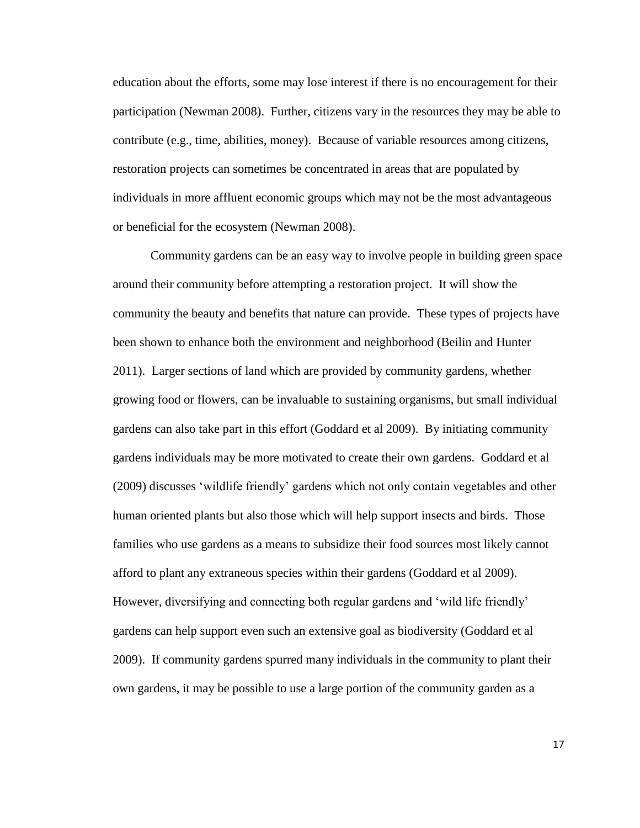education about the efforts, some may lose interest if there is no encouragement for their participation (Newman 2008). Further, citizens vary in the resources they may be able to contribute (e.g., time, abilities, money). Because of variable resources among citizens, restoration projects can sometimes be concentrated in areas that are populated by individuals in more affluent economic groups which may not be the most advantageous or beneficial for the ecosystem (Newman 2008).

Community gardens can be an easy way to involve people in building green space around their community before attempting a restoration project. It will show the community the beauty and benefits that nature can provide. These types of projects have been shown to enhance both the environment and neighborhood (Beilin and Hunter 2011). Larger sections of land which are provided by community gardens, whether growing food or flowers, can be invaluable to sustaining organisms, but small individual gardens can also take part in this effort (Goddard et al 2009). By initiating community gardens individuals may be more motivated to create their own gardens. Goddard et al (2009) discusses 'wildlife friendly' gardens which not only contain vegetables and other human oriented plants but also those which will help support insects and birds. Those families who use gardens as a means to subsidize their food sources most likely cannot afford to plant any extraneous species within their gardens (Goddard et al 2009). However, diversifying and connecting both regular gardens and 'wild life friendly' gardens can help support even such an extensive goal as biodiversity (Goddard et al 2009). If community gardens spurred many individuals in the community to plant their own gardens, it may be possible to use a large portion of the community garden as a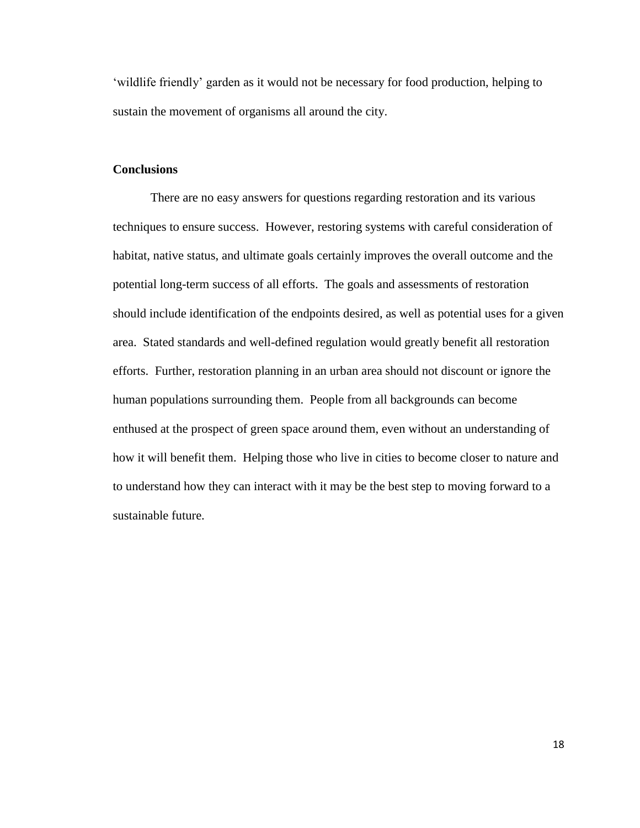'wildlife friendly' garden as it would not be necessary for food production, helping to sustain the movement of organisms all around the city.

# **Conclusions**

There are no easy answers for questions regarding restoration and its various techniques to ensure success. However, restoring systems with careful consideration of habitat, native status, and ultimate goals certainly improves the overall outcome and the potential long-term success of all efforts. The goals and assessments of restoration should include identification of the endpoints desired, as well as potential uses for a given area. Stated standards and well-defined regulation would greatly benefit all restoration efforts. Further, restoration planning in an urban area should not discount or ignore the human populations surrounding them. People from all backgrounds can become enthused at the prospect of green space around them, even without an understanding of how it will benefit them. Helping those who live in cities to become closer to nature and to understand how they can interact with it may be the best step to moving forward to a sustainable future.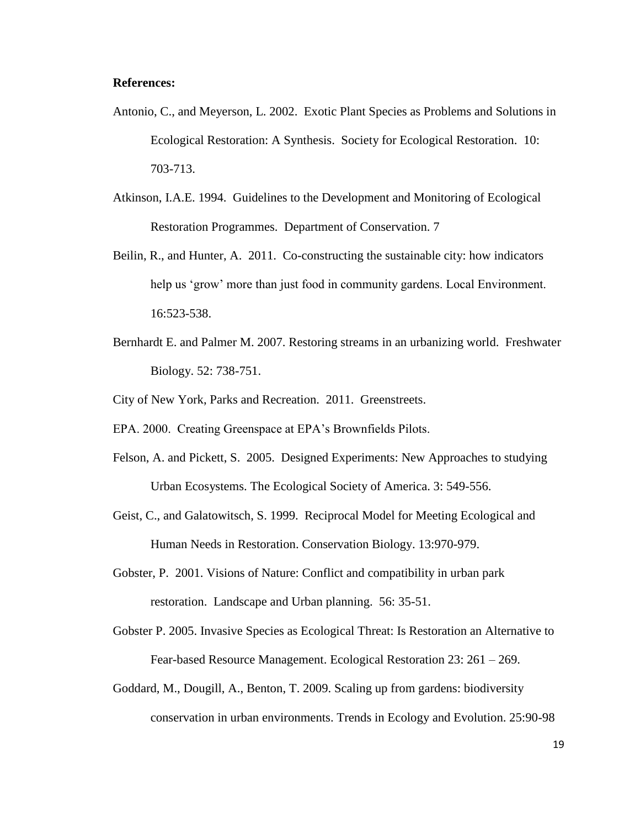# **References:**

- Antonio, C., and Meyerson, L. 2002. Exotic Plant Species as Problems and Solutions in Ecological Restoration: A Synthesis. Society for Ecological Restoration. 10: 703-713.
- Atkinson, I.A.E. 1994. Guidelines to the Development and Monitoring of Ecological Restoration Programmes. Department of Conservation. 7
- Beilin, R., and Hunter, A. 2011. Co-constructing the sustainable city: how indicators help us 'grow' more than just food in community gardens. Local Environment. 16:523-538.
- Bernhardt E. and Palmer M. 2007. Restoring streams in an urbanizing world. Freshwater Biology. 52: 738-751.
- City of New York, Parks and Recreation. 2011. Greenstreets.
- EPA. 2000. Creating Greenspace at EPA's Brownfields Pilots.
- Felson, A. and Pickett, S. 2005. Designed Experiments: New Approaches to studying Urban Ecosystems. The Ecological Society of America. 3: 549-556.
- Geist, C., and Galatowitsch, S. 1999. Reciprocal Model for Meeting Ecological and Human Needs in Restoration. Conservation Biology. 13:970-979.
- Gobster, P. 2001. Visions of Nature: Conflict and compatibility in urban park restoration. Landscape and Urban planning. 56: 35-51.
- Gobster P. 2005. Invasive Species as Ecological Threat: Is Restoration an Alternative to Fear-based Resource Management. Ecological Restoration 23: 261 – 269.
- Goddard, M., Dougill, A., Benton, T. 2009. Scaling up from gardens: biodiversity conservation in urban environments. Trends in Ecology and Evolution. 25:90-98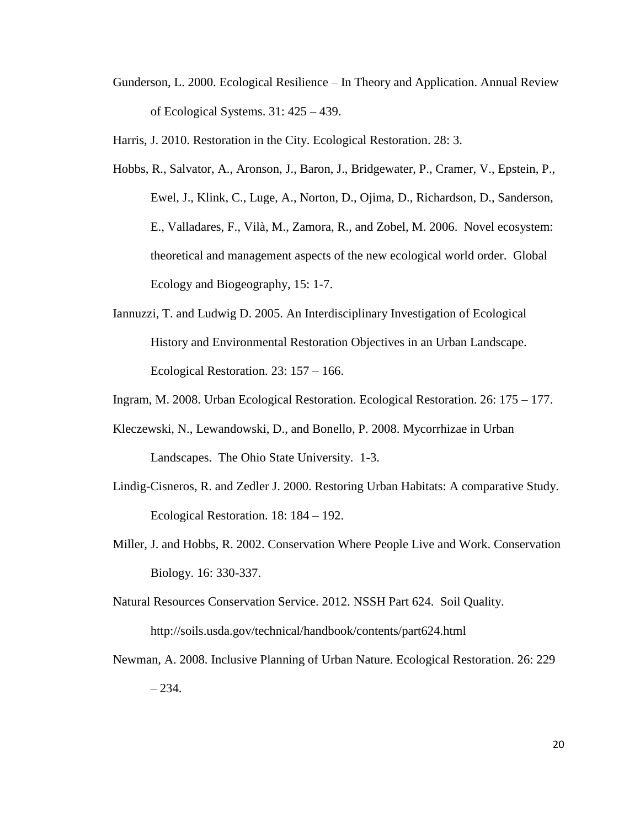Gunderson, L. 2000. Ecological Resilience – In Theory and Application. Annual Review of Ecological Systems. 31: 425 – 439.

Harris, J. 2010. Restoration in the City. Ecological Restoration. 28: 3.

- Hobbs, R., Salvator, A., Aronson, J., Baron, J., Bridgewater, P., Cramer, V., Epstein, P., Ewel, J., Klink, C., Luge, A., Norton, D., Ojima, D., Richardson, D., Sanderson, E., Valladares, F., Vilà, M., Zamora, R., and Zobel, M. 2006. Novel ecosystem: theoretical and management aspects of the new ecological world order. Global Ecology and Biogeography, 15: 1-7.
- Iannuzzi, T. and Ludwig D. 2005. An Interdisciplinary Investigation of Ecological History and Environmental Restoration Objectives in an Urban Landscape. Ecological Restoration. 23: 157 – 166.
- Ingram, M. 2008. Urban Ecological Restoration. Ecological Restoration. 26: 175 177.
- Kleczewski, N., Lewandowski, D., and Bonello, P. 2008. Mycorrhizae in Urban Landscapes. The Ohio State University. 1-3.
- Lindig-Cisneros, R. and Zedler J. 2000. Restoring Urban Habitats: A comparative Study. Ecological Restoration. 18: 184 – 192.
- Miller, J. and Hobbs, R. 2002. Conservation Where People Live and Work. Conservation Biology. 16: 330-337.
- Natural Resources Conservation Service. 2012. NSSH Part 624. Soil Quality. http://soils.usda.gov/technical/handbook/contents/part624.html
- Newman, A. 2008. Inclusive Planning of Urban Nature. Ecological Restoration. 26: 229  $-234.$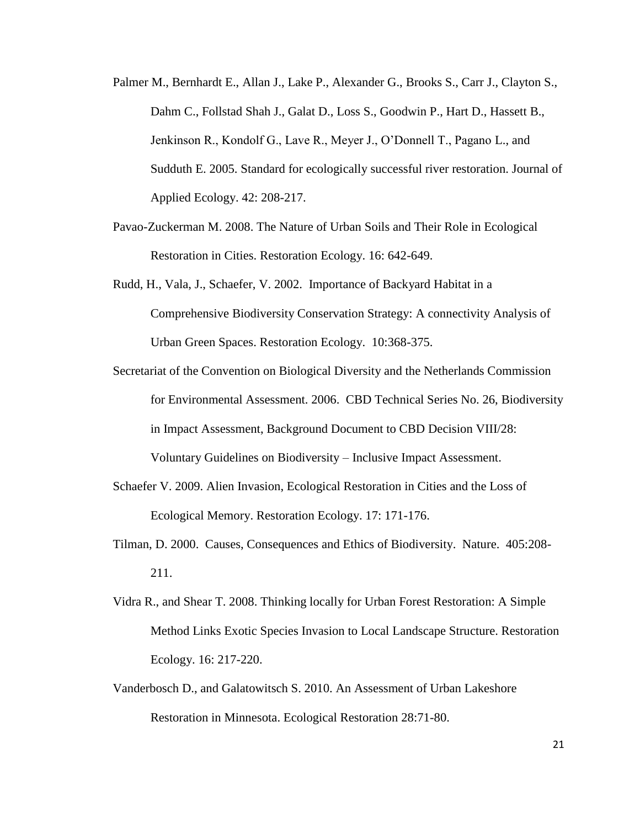- Palmer M., Bernhardt E., Allan J., Lake P., Alexander G., Brooks S., Carr J., Clayton S., Dahm C., Follstad Shah J., Galat D., Loss S., Goodwin P., Hart D., Hassett B., Jenkinson R., Kondolf G., Lave R., Meyer J., O'Donnell T., Pagano L., and Sudduth E. 2005. Standard for ecologically successful river restoration. Journal of Applied Ecology. 42: 208-217.
- Pavao-Zuckerman M. 2008. The Nature of Urban Soils and Their Role in Ecological Restoration in Cities. Restoration Ecology. 16: 642-649.
- Rudd, H., Vala, J., Schaefer, V. 2002. Importance of Backyard Habitat in a Comprehensive Biodiversity Conservation Strategy: A connectivity Analysis of Urban Green Spaces. Restoration Ecology. 10:368-375.
- Secretariat of the Convention on Biological Diversity and the Netherlands Commission for Environmental Assessment. 2006. CBD Technical Series No. 26, Biodiversity in Impact Assessment, Background Document to CBD Decision VIII/28: Voluntary Guidelines on Biodiversity – Inclusive Impact Assessment.
- Schaefer V. 2009. Alien Invasion, Ecological Restoration in Cities and the Loss of Ecological Memory. Restoration Ecology. 17: 171-176.
- Tilman, D. 2000. Causes, Consequences and Ethics of Biodiversity. Nature. 405:208- 211.
- Vidra R., and Shear T. 2008. Thinking locally for Urban Forest Restoration: A Simple Method Links Exotic Species Invasion to Local Landscape Structure. Restoration Ecology. 16: 217-220.
- Vanderbosch D., and Galatowitsch S. 2010. An Assessment of Urban Lakeshore Restoration in Minnesota. Ecological Restoration 28:71-80.